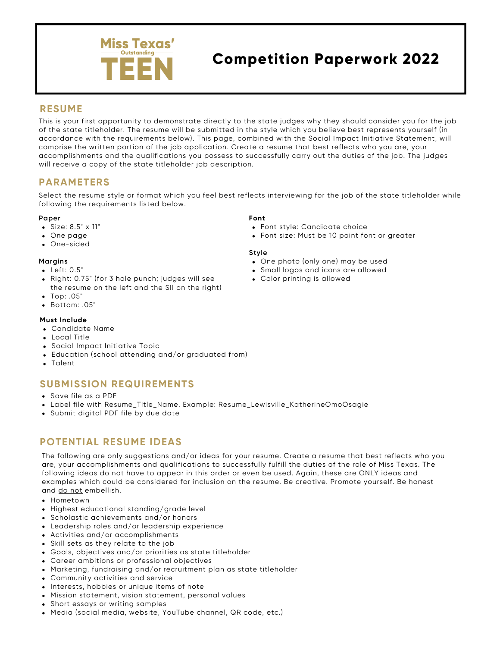

# **Competition Paperwork 2022**

### **RESUME**

This is your first opportunity to demonstrate directly to the state judges why they should consider you for the job of the state titleholder. The resume will be submitted in the style which you believe best represents yourself (in accordance with the requirements below). This page, combined with the Social Impact Initiative Statement, will comprise the written portion of the job application. Create a resume that best reflects who you are, your accomplishments and the qualifications you possess to successfully carry out the duties of the job. The judges will receive a copy of the state titleholder job description.

## **PARAMETERS**

Select the resume style or format which you feel best reflects interviewing for the job of the state titleholder while following the requirements listed below.

#### **Paper**

- Size: 8.5" x 11"
- One page
- One-sided

#### **Margins**

- Left: 0.5"
- Right: 0.75" (for 3 hole punch; judges will see the resume on the left and the SII on the right)
- Top: .05"
- Bottom: .05"

#### **Must Include**

- Candidate Name
- Local Title
- Social Impact Initiative Topic
- Education (school attending and/or graduated from)
- Talent

## **SUBMISSION REQUIREMENTS**

- Save file as a PDF
- Label file with Resume\_Title\_Name. Example: Resume\_Lewisville\_KatherineOmoOsagie
- Submit digital PDF file by due date

## **POTENTIAL RESUME IDEAS**

The following are only suggestions and/or ideas for your resume. Create a resume that best reflects who you are, your accomplishments and qualifications to successfully fulfill the duties of the role of Miss Texas. The following ideas do not have to appear in this order or even be used. Again, these are ONLY ideas and examples which could be considered for inclusion on the resume. Be creative. Promote yourself. Be honest and do not embellish.

- Hometown
- Highest educational standing/grade level
- Scholastic achievements and/or honors
- Leadership roles and/or leadership experience
- Activities and/or accomplishments
- Skill sets as they relate to the job
- Goals, objectives and/or priorities as state titleholder
- Career ambitions or professional objectives
- Marketing, fundraising and/or recruitment plan as state titleholder
- Community activities and service
- Interests, hobbies or unique items of note
- Mission statement, vision statement, personal values
- Short essays or writing samples
- Media (social media, website, YouTube channel, QR code, etc.)

#### **Font**

- Font style: Candidate choice
- Font size: Must be 10 point font or greater

#### **Style**

- One photo (only one) may be used
- Small logos and icons are allowed
- Color printing is allowed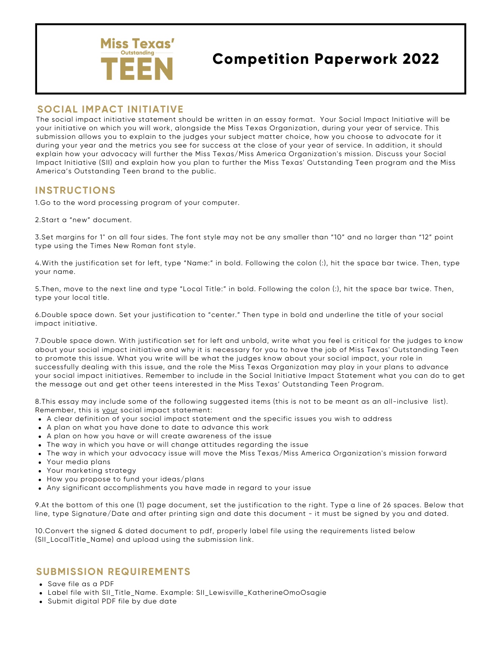

# **Competition Paperwork 2022**

## **SOCIAL IMPACT INITIATIVE**

The social impact initiative statement should be written in an essay format. Your Social Impact Initiative will be your initiative on which you will work, alongside the Miss Texas Organization, during your year of service. This submission allows you to explain to the judges your subject matter choice, how you choose to advocate for it during your year and the metrics you see for success at the close of your year of service. In addition, it should explain how your advocacy will further the Miss Texas/Miss America Organization's mission. Discuss your Social Impact Initiative (SII) and explain how you plan to further the Miss Texas' Outstanding Teen program and the Miss America's Outstanding Teen brand to the public.

## **INSTRUCTIONS**

1.Go to the word processing program of your computer.

2.Start a "new" document.

3.Set margins for 1" on all four sides. The font style may not be any smaller than "10" and no larger than "12" point type using the Times New Roman font style.

4.With the justification set for left, type "Name:" in bold. Following the colon (:), hit the space bar twice. Then, type your name.

5.Then, move to the next line and type "Local Title:" in bold. Following the colon (:), hit the space bar twice. Then, type your local title.

6.Double space down. Set your justification to "center." Then type in bold and underline the title of your social impact initiative.

7.Double space down. With justification set for left and unbold, write what you feel is critical for the judges to know about your social impact initiative and why it is necessary for you to have the job of Miss Texas' Outstanding Teen to promote this issue. What you write will be what the judges know about your social impact, your role in successfully dealing with this issue, and the role the Miss Texas Organization may play in your plans to advance your social impact initiatives. Remember to include in the Social Initiative Impact Statement what you can do to get the message out and get other teens interested in the Miss Texas' Outstanding Teen Program.

8.This essay may include some of the following suggested items (this is not to be meant as an all-inclusive list). Remember, this is your social impact statement:

- A clear definition of your social impact statement and the specific issues you wish to address
- A plan on what you have done to date to advance this work
- A plan on how you have or will create awareness of the issue
- The way in which you have or will change attitudes regarding the issue
- The way in which your advocacy issue will move the Miss Texas/Miss America Organization's mission forward
- Your media plans
- Your marketing strategy
- How you propose to fund your ideas/plans
- Any significant accomplishments you have made in regard to your issue

9.At the bottom of this one (1) page document, set the justification to the right. Type a line of 26 spaces. Below that line, type Signature/Date and after printing sign and date this document - it must be signed by you and dated.

10.Convert the signed & dated document to pdf, properly label file using the requirements listed below (SII\_LocalTitle\_Name) and upload using the submission link.

## **SUBMISSION REQUIREMENTS**

- Save file as a PDF
- Label file with SII\_Title\_Name. Example: SII\_Lewisville\_KatherineOmoOsagie
- Submit digital PDF file by due date